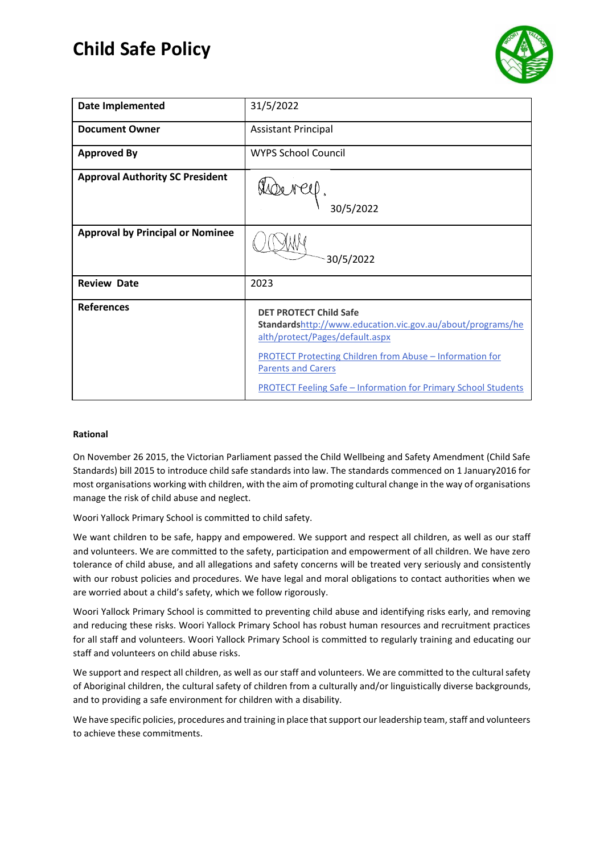# **Child Safe Policy**



| <b>Date Implemented</b>                 | 31/5/2022                                                                                                                                                                                                                                                                                               |
|-----------------------------------------|---------------------------------------------------------------------------------------------------------------------------------------------------------------------------------------------------------------------------------------------------------------------------------------------------------|
| <b>Document Owner</b>                   | <b>Assistant Principal</b>                                                                                                                                                                                                                                                                              |
| <b>Approved By</b>                      | WYPS School Council                                                                                                                                                                                                                                                                                     |
| <b>Approval Authority SC President</b>  | 30/5/2022                                                                                                                                                                                                                                                                                               |
| <b>Approval by Principal or Nominee</b> | 30/5/2022                                                                                                                                                                                                                                                                                               |
| <b>Review Date</b>                      | 2023                                                                                                                                                                                                                                                                                                    |
| <b>References</b>                       | <b>DET PROTECT Child Safe</b><br>Standardshttp://www.education.vic.gov.au/about/programs/he<br>alth/protect/Pages/default.aspx<br><b>PROTECT Protecting Children from Abuse - Information for</b><br><b>Parents and Carers</b><br><b>PROTECT Feeling Safe - Information for Primary School Students</b> |

# **Rational**

On November 26 2015, the Victorian Parliament passed the Child Wellbeing and Safety Amendment (Child Safe Standards) bill 2015 to introduce child safe standards into law. The standards commenced on 1 January2016 for most organisations working with children, with the aim of promoting cultural change in the way of organisations manage the risk of child abuse and neglect.

Woori Yallock Primary School is committed to child safety.

We want children to be safe, happy and empowered. We support and respect all children, as well as our staff and volunteers. We are committed to the safety, participation and empowerment of all children. We have zero tolerance of child abuse, and all allegations and safety concerns will be treated very seriously and consistently with our robust policies and procedures. We have legal and moral obligations to contact authorities when we are worried about a child's safety, which we follow rigorously.

Woori Yallock Primary School is committed to preventing child abuse and identifying risks early, and removing and reducing these risks. Woori Yallock Primary School has robust human resources and recruitment practices for all staff and volunteers. Woori Yallock Primary School is committed to regularly training and educating our staff and volunteers on child abuse risks.

We support and respect all children, as well as our staff and volunteers. We are committed to the cultural safety of Aboriginal children, the cultural safety of children from a culturally and/or linguistically diverse backgrounds, and to providing a safe environment for children with a disability.

We have specific policies, procedures and training in place that support our leadership team, staff and volunteers to achieve these commitments.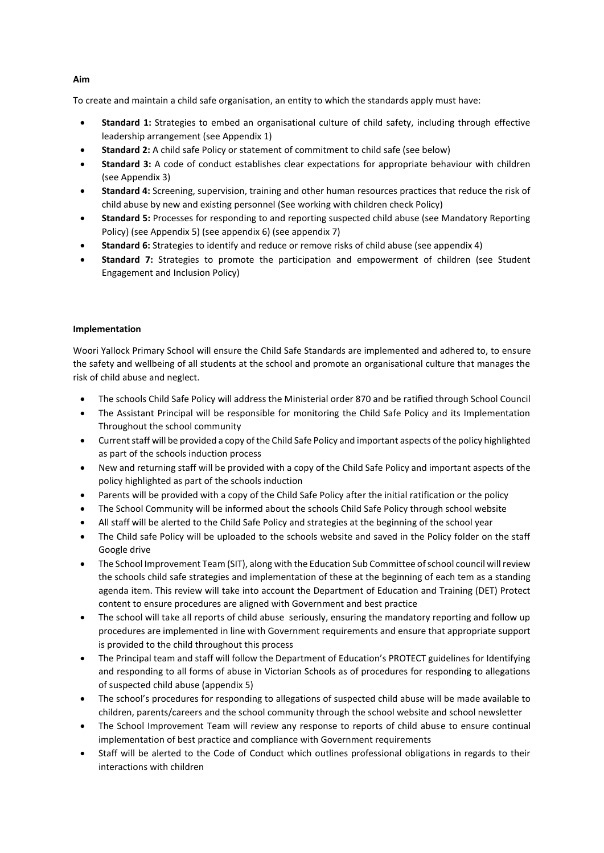To create and maintain a child safe organisation, an entity to which the standards apply must have:

- **Standard 1:** Strategies to embed an organisational culture of child safety, including through effective leadership arrangement (see Appendix 1)
- **Standard 2:** A child safe Policy or statement of commitment to child safe (see below)
- **Standard 3:** A code of conduct establishes clear expectations for appropriate behaviour with children (see Appendix 3)
- **Standard 4:** Screening, supervision, training and other human resources practices that reduce the risk of child abuse by new and existing personnel (See working with children check Policy)
- **Standard 5:** Processes for responding to and reporting suspected child abuse (see Mandatory Reporting Policy) (see Appendix 5) (see appendix 6) (see appendix 7)
- **Standard 6:** Strategies to identify and reduce or remove risks of child abuse (see appendix 4)
- Standard 7: Strategies to promote the participation and empowerment of children (see Student Engagement and Inclusion Policy)

# **Implementation**

Woori Yallock Primary School will ensure the Child Safe Standards are implemented and adhered to, to ensure the safety and wellbeing of all students at the school and promote an organisational culture that manages the risk of child abuse and neglect.

- The schools Child Safe Policy will address the Ministerial order 870 and be ratified through School Council
- The Assistant Principal will be responsible for monitoring the Child Safe Policy and its Implementation Throughout the school community
- Current staff will be provided a copy of the Child Safe Policy and important aspects of the policy highlighted as part of the schools induction process
- New and returning staff will be provided with a copy of the Child Safe Policy and important aspects of the policy highlighted as part of the schools induction
- Parents will be provided with a copy of the Child Safe Policy after the initial ratification or the policy
- The School Community will be informed about the schools Child Safe Policy through school website
- All staff will be alerted to the Child Safe Policy and strategies at the beginning of the school year
- The Child safe Policy will be uploaded to the schools website and saved in the Policy folder on the staff Google drive
- The School Improvement Team (SIT), along with the Education Sub Committee of school council will review the schools child safe strategies and implementation of these at the beginning of each tem as a standing agenda item. This review will take into account the Department of Education and Training (DET) Protect content to ensure procedures are aligned with Government and best practice
- The school will take all reports of child abuse seriously, ensuring the mandatory reporting and follow up procedures are implemented in line with Government requirements and ensure that appropriate support is provided to the child throughout this process
- The Principal team and staff will follow the Department of Education's PROTECT guidelines for Identifying and responding to all forms of abuse in Victorian Schools as of procedures for responding to allegations of suspected child abuse (appendix 5)
- The school's procedures for responding to allegations of suspected child abuse will be made available to children, parents/careers and the school community through the school website and school newsletter
- The School Improvement Team will review any response to reports of child abuse to ensure continual implementation of best practice and compliance with Government requirements
- Staff will be alerted to the Code of Conduct which outlines professional obligations in regards to their interactions with children

# **Aim**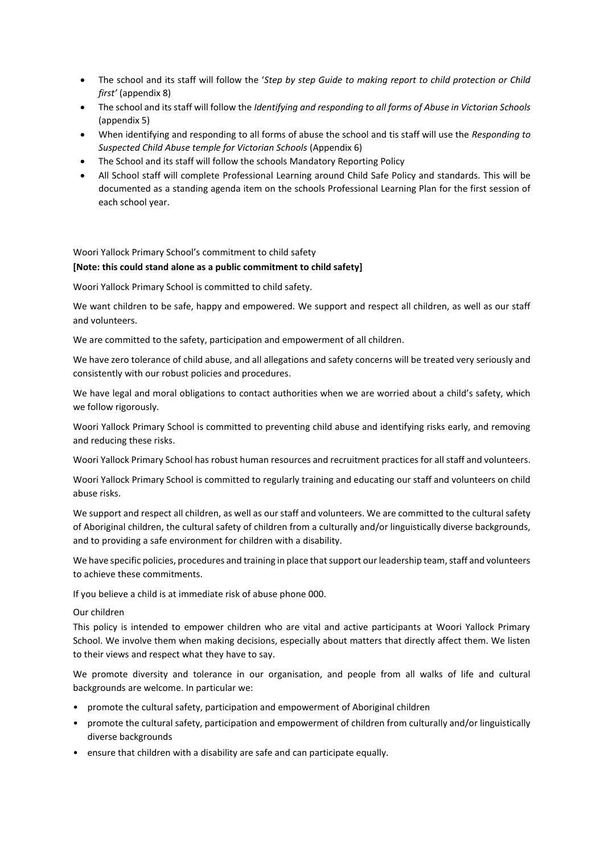- The school and its staff will follow the '*Step by step Guide to making report to child protection or Child first'* (appendix 8)
- The school and its staff will follow the *Identifying and responding to all forms of Abuse in Victorian Schools* (appendix 5)
- When identifying and responding to all forms of abuse the school and tis staff will use the *Responding to Suspected Child Abuse temple for Victorian Schools* (Appendix 6)
- The School and its staff will follow the schools Mandatory Reporting Policy
- All School staff will complete Professional Learning around Child Safe Policy and standards. This will be documented as a standing agenda item on the schools Professional Learning Plan for the first session of each school year.

# Woori Yallock Primary School's commitment to child safety

## **[Note: this could stand alone as a public commitment to child safety]**

Woori Yallock Primary School is committed to child safety.

We want children to be safe, happy and empowered. We support and respect all children, as well as our staff and volunteers.

We are committed to the safety, participation and empowerment of all children.

We have zero tolerance of child abuse, and all allegations and safety concerns will be treated very seriously and consistently with our robust policies and procedures.

We have legal and moral obligations to contact authorities when we are worried about a child's safety, which we follow rigorously.

Woori Yallock Primary School is committed to preventing child abuse and identifying risks early, and removing and reducing these risks.

Woori Yallock Primary School has robust human resources and recruitment practices for all staff and volunteers.

Woori Yallock Primary School is committed to regularly training and educating our staff and volunteers on child abuse risks.

We support and respect all children, as well as our staff and volunteers. We are committed to the cultural safety of Aboriginal children, the cultural safety of children from a culturally and/or linguistically diverse backgrounds, and to providing a safe environment for children with a disability.

We have specific policies, procedures and training in place that support our leadership team, staff and volunteers to achieve these commitments.

If you believe a child is at immediate risk of abuse phone 000.

Our children

This policy is intended to empower children who are vital and active participants at Woori Yallock Primary School. We involve them when making decisions, especially about matters that directly affect them. We listen to their views and respect what they have to say.

We promote diversity and tolerance in our organisation, and people from all walks of life and cultural backgrounds are welcome. In particular we:

- promote the cultural safety, participation and empowerment of Aboriginal children
- promote the cultural safety, participation and empowerment of children from culturally and/or linguistically diverse backgrounds
- ensure that children with a disability are safe and can participate equally.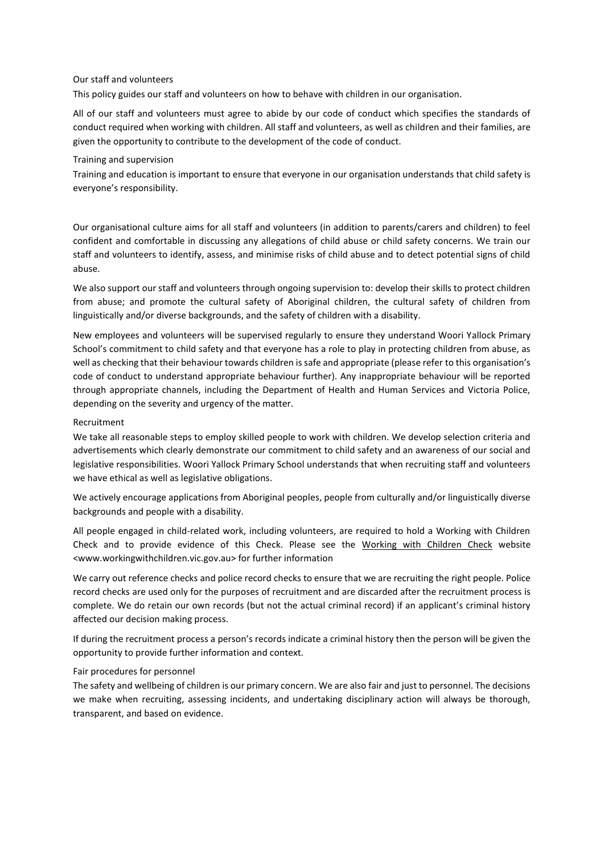### Our staff and volunteers

This policy guides our staff and volunteers on how to behave with children in our organisation.

All of our staff and volunteers must agree to abide by our code of conduct which specifies the standards of conduct required when working with children. All staff and volunteers, as well as children and their families, are given the opportunity to contribute to the development of the code of conduct.

#### Training and supervision

Training and education is important to ensure that everyone in our organisation understands that child safety is everyone's responsibility.

Our organisational culture aims for all staff and volunteers (in addition to parents/carers and children) to feel confident and comfortable in discussing any allegations of child abuse or child safety concerns. We train our staff and volunteers to identify, assess, and minimise risks of child abuse and to detect potential signs of child abuse.

We also support our staff and volunteers through ongoing supervision to: develop their skills to protect children from abuse; and promote the cultural safety of Aboriginal children, the cultural safety of children from linguistically and/or diverse backgrounds, and the safety of children with a disability.

New employees and volunteers will be supervised regularly to ensure they understand Woori Yallock Primary School's commitment to child safety and that everyone has a role to play in protecting children from abuse, as well as checking that their behaviour towards children is safe and appropriate (please refer to this organisation's code of conduct to understand appropriate behaviour further). Any inappropriate behaviour will be reported through appropriate channels, including the Department of Health and Human Services and Victoria Police, depending on the severity and urgency of the matter.

# Recruitment

We take all reasonable steps to employ skilled people to work with children. We develop selection criteria and advertisements which clearly demonstrate our commitment to child safety and an awareness of our social and legislative responsibilities. Woori Yallock Primary School understands that when recruiting staff and volunteers we have ethical as well as legislative obligations.

We actively encourage applications from Aboriginal peoples, people from culturally and/or linguistically diverse backgrounds and people with a disability.

All people engaged in child-related work, including volunteers, are required to hold a Working with Children Check and to provide evidence of this Check. Please see the [Working with Children Check](http://www.workingwithchildren.vic.gov.au/) website <www.workingwithchildren.vic.gov.au> for further information

We carry out reference checks and police record checks to ensure that we are recruiting the right people. Police record checks are used only for the purposes of recruitment and are discarded after the recruitment process is complete. We do retain our own records (but not the actual criminal record) if an applicant's criminal history affected our decision making process.

If during the recruitment process a person's records indicate a criminal history then the person will be given the opportunity to provide further information and context.

# Fair procedures for personnel

The safety and wellbeing of children is our primary concern. We are also fair and just to personnel. The decisions we make when recruiting, assessing incidents, and undertaking disciplinary action will always be thorough, transparent, and based on evidence.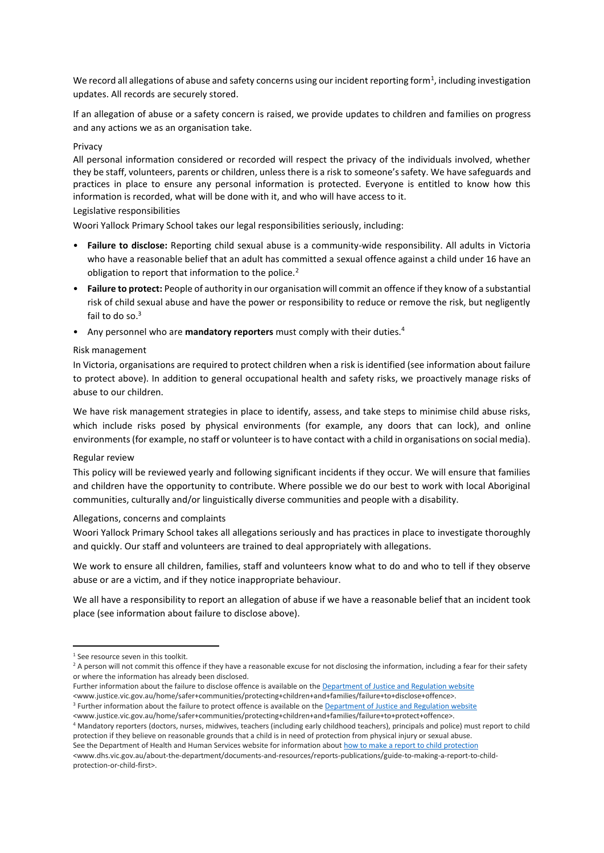We record all allegations of abuse and safety concerns using our incident reporting form<sup>1</sup>, including investigation updates. All records are securely stored.

If an allegation of abuse or a safety concern is raised, we provide updates to children and families on progress and any actions we as an organisation take.

#### Privacy

All personal information considered or recorded will respect the privacy of the individuals involved, whether they be staff, volunteers, parents or children, unless there is a risk to someone's safety. We have safeguards and practices in place to ensure any personal information is protected. Everyone is entitled to know how this information is recorded, what will be done with it, and who will have access to it.

## Legislative responsibilities

Woori Yallock Primary School takes our legal responsibilities seriously, including:

- **Failure to disclose:** Reporting child sexual abuse is a community-wide responsibility. All adults in Victoria who have a reasonable belief that an adult has committed a sexual offence against a child under 16 have an obligation to report that information to the police.<sup>2</sup>
- **Failure to protect:** People of authority in our organisation will commit an offence if they know of a substantial risk of child sexual abuse and have the power or responsibility to reduce or remove the risk, but negligently fail to do so.<sup>3</sup>
- Any personnel who are **mandatory reporters** must comply with their duties.<sup>4</sup>

## Risk management

In Victoria, organisations are required to protect children when a risk is identified (see information about failure to protect above). In addition to general occupational health and safety risks, we proactively manage risks of abuse to our children.

We have risk management strategies in place to identify, assess, and take steps to minimise child abuse risks, which include risks posed by physical environments (for example, any doors that can lock), and online environments (for example, no staff or volunteer is to have contact with a child in organisations on social media).

#### Regular review

This policy will be reviewed yearly and following significant incidents if they occur. We will ensure that families and children have the opportunity to contribute. Where possible we do our best to work with local Aboriginal communities, culturally and/or linguistically diverse communities and people with a disability.

#### Allegations, concerns and complaints

Woori Yallock Primary School takes all allegations seriously and has practices in place to investigate thoroughly and quickly. Our staff and volunteers are trained to deal appropriately with allegations.

We work to ensure all children, families, staff and volunteers know what to do and who to tell if they observe abuse or are a victim, and if they notice inappropriate behaviour.

We all have a responsibility to report an allegation of abuse if we have a reasonable belief that an incident took place (see information about failure to disclose above).

- Further information about the failure to disclose offence is available on th[e Department of Justice and Regulation website](http://www.justice.vic.gov.au/home/safer+communities/protecting+children+and+families/failure+to+disclose+offence) <www.justice.vic.gov.au/home/safer+communities/protecting+children+and+families/failure+to+disclose+offence>.
- <sup>3</sup> Further information about the failure to protect offence is available on th[e Department of Justice and Regulation website](http://www.justice.vic.gov.au/home/safer+communities/protecting+children+and+families/failure+to+protect+offence) <www.justice.vic.gov.au/home/safer+communities/protecting+children+and+families/failure+to+protect+offence>.

<sup>&</sup>lt;sup>1</sup> See resource seven in this toolkit.

<sup>&</sup>lt;sup>2</sup> A person will not commit this offence if they have a reasonable excuse for not disclosing the information, including a fear for their safety or where the information has already been disclosed.

<sup>4</sup> Mandatory reporters (doctors, nurses, midwives, teachers (including early childhood teachers), principals and police) must report to child protection if they believe on reasonable grounds that a child is in need of protection from physical injury or sexual abuse.

See the Department of Health and Human Services website for information abou[t how to make a report to child protection](http://www.dhs.vic.gov.au/about-the-department/documents-and-resources/reports-publications/guide-to-making-a-report-to-child-protection-or-child-first)

<sup>&</sup>lt;www.dhs.vic.gov.au/about-the-department/documents-and-resources/reports-publications/guide-to-making-a-report-to-childprotection-or-child-first>.